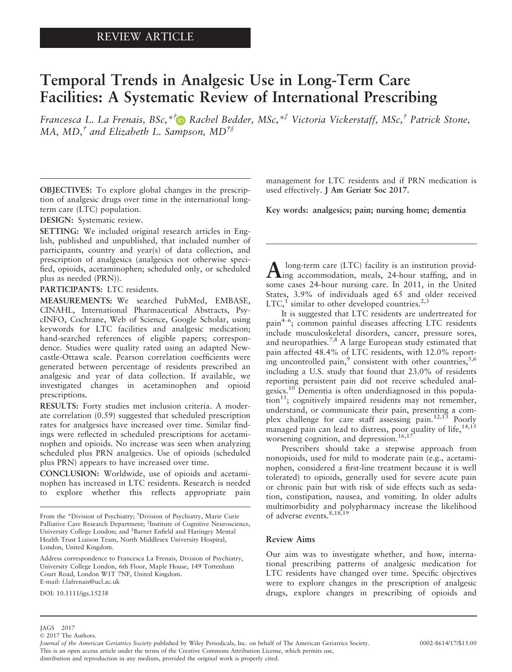# Temporal Trends in Analgesic Use in Long-Term Care Facilities: A Systematic Review of International Prescribing

Francesca L. La Frenais, BSc,<sup>\*†</sup> Rachel Bedder, MSc,<sup>\*†</sup> Victoria Vickerstaff, MSc,<sup>†</sup> Patrick Stone, MA, MD,<sup>†</sup> and Elizabeth L. Sa[mp](http://orcid.org/0000-0001-7538-2347)son, MD<sup>†§</sup>

OBJECTIVES: To explore global changes in the prescription of analgesic drugs over time in the international longterm care (LTC) population.

DESIGN: Systematic review.

SETTING: We included original research articles in English, published and unpublished, that included number of participants, country and year(s) of data collection, and prescription of analgesics (analgesics not otherwise specified, opioids, acetaminophen; scheduled only, or scheduled plus as needed (PRN)).

PARTICIPANTS: LTC residents.

MEASUREMENTS: We searched PubMed, EMBASE, CINAHL, International Pharmaceutical Abstracts, PsycINFO, Cochrane, Web of Science, Google Scholar, using keywords for LTC facilities and analgesic medication; hand-searched references of eligible papers; correspondence. Studies were quality rated using an adapted Newcastle-Ottawa scale. Pearson correlation coefficients were generated between percentage of residents prescribed an analgesic and year of data collection. If available, we investigated changes in acetaminophen and opioid prescriptions.

RESULTS: Forty studies met inclusion criteria. A moderate correlation (0.59) suggested that scheduled prescription rates for analgesics have increased over time. Similar findings were reflected in scheduled prescriptions for acetaminophen and opioids. No increase was seen when analyzing scheduled plus PRN analgesics. Use of opioids (scheduled plus PRN) appears to have increased over time.

CONCLUSION: Worldwide, use of opioids and acetaminophen has increased in LTC residents. Research is needed to explore whether this reflects appropriate pain

Address correspondence to Francesca La Frenais, Division of Psychiatry, University College London, 6th Floor, Maple House, 149 Tottenham Court Road, London W1T 7NF, United Kingdom. E-mail: f.lafrenais@ucl.ac.uk

DOI: 10.1111/jgs.15238

management for LTC residents and if PRN medication is used effectively. J Am Geriatr Soc 2017.

Key words: analgesics; pain; nursing home; dementia

A long-term care (LTC) facility is an institution provid-<br>ing accommodation, meals, 24-hour staffing, and in some cases 24-hour nursing care. In 2011, in the United States, 3.9% of individuals aged 65 and older received LTC, $<sup>1</sup>$  similar to other developed countries.<sup>2,3</sup></sup>

It is suggested that LTC residents are undertreated for pain<sup>4-6</sup>; common painful diseases affecting LTC residents include musculoskeletal disorders, cancer, pressure sores, and neuropathies.7,8 A large European study estimated that pain affected 48.4% of LTC residents, with 12.0% reporting uncontrolled pain, $\degree$  consistent with other countries,  $5,6$ including a U.S. study that found that 23.0% of residents reporting persistent pain did not receive scheduled analgesics.10 Dementia is often underdiagnosed in this popula- $\sum_{n=1}^{\infty}$  tion<sup>11</sup>; cognitively impaired residents may not remember, understand, or communicate their pain, presenting a complex challenge for care staff assessing pain.<sup>12,13</sup> Poorly managed pain can lead to distress, poor quality of life,  $14,15$ worsening cognition, and depression.<sup>16,17</sup>

Prescribers should take a stepwise approach from nonopioids, used for mild to moderate pain (e.g., acetaminophen, considered a first-line treatment because it is well tolerated) to opioids, generally used for severe acute pain or chronic pain but with risk of side effects such as sedation, constipation, nausea, and vomiting. In older adults multimorbidity and polypharmacy increase the likelihood of adverse events.<sup>8,18,19</sup>

#### Review Aims

Our aim was to investigate whether, and how, international prescribing patterns of analgesic medication for LTC residents have changed over time. Specific objectives were to explore changes in the prescription of analgesic drugs, explore changes in prescribing of opioids and

From the \*Division of Psychiatry; † Division of Psychiatry, Marie Curie Palliative Care Research Department; <sup>‡</sup>Institute of Cognitive Neuroscience, University College London; and <sup>§</sup>Barnet Enfield and Haringey Mental Health Trust Liaison Team, North Middlesex University Hospital, London, United Kingdom.

JAGS 2017

<sup>©</sup> 2017 The Authors.

Journal of the American Geriatrics Society published by Wiley Periodicals, Inc. on behalf of The American Geriatrics Society. 0002-8614/17/\$15.00 This is an open access article under the terms of the [Creative Commons Attribution](http://creativecommons.org/licenses/by/4.0/) License, which permits use,

distribution and reproduction in any medium, provided the original work is properly cited.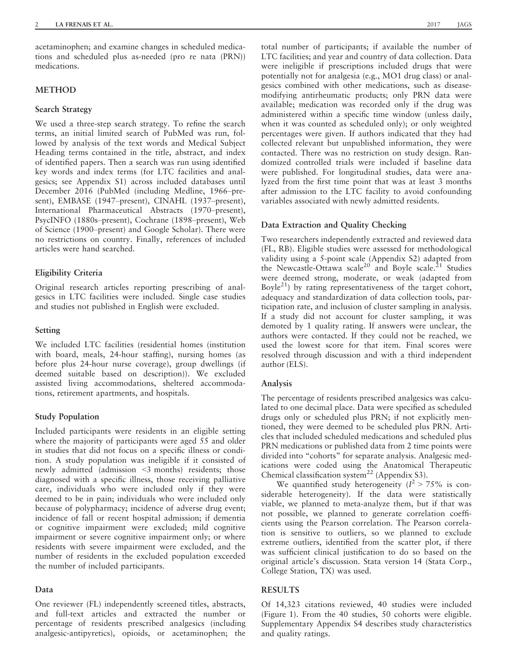acetaminophen; and examine changes in scheduled medications and scheduled plus as-needed (pro re nata (PRN)) medications.

## **METHOD**

#### Search Strategy

We used a three-step search strategy. To refine the search terms, an initial limited search of PubMed was run, followed by analysis of the text words and Medical Subject Heading terms contained in the title, abstract, and index of identified papers. Then a search was run using identified key words and index terms (for LTC facilities and analgesics; see Appendix S1) across included databases until December 2016 (PubMed (including Medline, 1966–present), EMBASE (1947–present), CINAHL (1937–present), International Pharmaceutical Abstracts (1970–present), PsycINFO (1880s–present), Cochrane (1898–present), Web of Science (1900–present) and Google Scholar). There were no restrictions on country. Finally, references of included articles were hand searched.

#### Eligibility Criteria

Original research articles reporting prescribing of analgesics in LTC facilities were included. Single case studies and studies not published in English were excluded.

#### Setting

We included LTC facilities (residential homes (institution with board, meals, 24-hour staffing), nursing homes (as before plus 24-hour nurse coverage), group dwellings (if deemed suitable based on description)). We excluded assisted living accommodations, sheltered accommodations, retirement apartments, and hospitals.

## Study Population

Included participants were residents in an eligible setting where the majority of participants were aged 55 and older in studies that did not focus on a specific illness or condition. A study population was ineligible if it consisted of newly admitted (admission <3 months) residents; those diagnosed with a specific illness, those receiving palliative care, individuals who were included only if they were deemed to be in pain; individuals who were included only because of polypharmacy; incidence of adverse drug event; incidence of fall or recent hospital admission; if dementia or cognitive impairment were excluded; mild cognitive impairment or severe cognitive impairment only; or where residents with severe impairment were excluded, and the number of residents in the excluded population exceeded the number of included participants.

#### Data

One reviewer (FL) independently screened titles, abstracts, and full-text articles and extracted the number or percentage of residents prescribed analgesics (including analgesic-antipyretics), opioids, or acetaminophen; the

total number of participants; if available the number of LTC facilities; and year and country of data collection. Data were ineligible if prescriptions included drugs that were potentially not for analgesia (e.g., MO1 drug class) or analgesics combined with other medications, such as diseasemodifying antirheumatic products; only PRN data were available; medication was recorded only if the drug was administered within a specific time window (unless daily, when it was counted as scheduled only); or only weighted percentages were given. If authors indicated that they had collected relevant but unpublished information, they were contacted. There was no restriction on study design. Randomized controlled trials were included if baseline data were published. For longitudinal studies, data were analyzed from the first time point that was at least 3 months after admission to the LTC facility to avoid confounding variables associated with newly admitted residents.

#### Data Extraction and Quality Checking

Two researchers independently extracted and reviewed data (FL, RB). Eligible studies were assessed for methodological validity using a 5-point scale (Appendix S2) adapted from the Newcastle-Ottawa scale<sup>20</sup> and Boyle scale.<sup>21</sup> Studies were deemed strong, moderate, or weak (adapted from Boyle<sup>21</sup>) by rating representativeness of the target cohort, adequacy and standardization of data collection tools, participation rate, and inclusion of cluster sampling in analysis. If a study did not account for cluster sampling, it was demoted by 1 quality rating. If answers were unclear, the authors were contacted. If they could not be reached, we used the lowest score for that item. Final scores were resolved through discussion and with a third independent author (ELS).

## Analysis

The percentage of residents prescribed analgesics was calculated to one decimal place. Data were specified as scheduled drugs only or scheduled plus PRN; if not explicitly mentioned, they were deemed to be scheduled plus PRN. Articles that included scheduled medications and scheduled plus PRN medications or published data from 2 time points were divided into "cohorts" for separate analysis. Analgesic medications were coded using the Anatomical Therapeutic Chemical classification system<sup>22</sup> (Appendix S3).

We quantified study heterogeneity  $(I^2 > 75\%$  is considerable heterogeneity). If the data were statistically viable, we planned to meta-analyze them, but if that was not possible, we planned to generate correlation coefficients using the Pearson correlation. The Pearson correlation is sensitive to outliers, so we planned to exclude extreme outliers, identified from the scatter plot, if there was sufficient clinical justification to do so based on the original article's discussion. Stata version 14 (Stata Corp., College Station, TX) was used.

## **RESULTS**

Of 14,323 citations reviewed, 40 studies were included (Figure 1). From the 40 studies, 50 cohorts were eligible. Supplementary Appendix S4 describes study characteristics and quality ratings.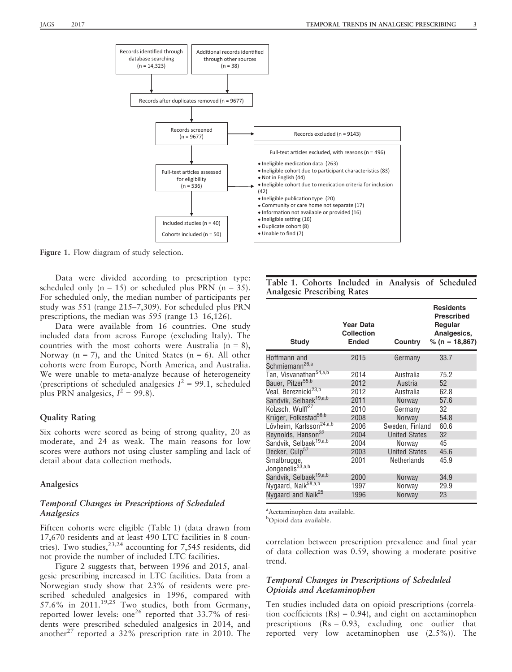

Figure 1. Flow diagram of study selection.

Data were divided according to prescription type: scheduled only  $(n = 15)$  or scheduled plus PRN  $(n = 35)$ . For scheduled only, the median number of participants per study was 551 (range 215–7,309). For scheduled plus PRN prescriptions, the median was 595 (range 13–16,126).

Data were available from 16 countries. One study included data from across Europe (excluding Italy). The countries with the most cohorts were Australia  $(n = 8)$ , Norway ( $n = 7$ ), and the United States ( $n = 6$ ). All other cohorts were from Europe, North America, and Australia. We were unable to meta-analyze because of heterogeneity (prescriptions of scheduled analgesics  $I^2 = 99.1$ , scheduled plus PRN analgesics,  $I^2 = 99.8$ ).

#### Quality Rating

Six cohorts were scored as being of strong quality, 20 as moderate, and 24 as weak. The main reasons for low scores were authors not using cluster sampling and lack of detail about data collection methods.

#### Analgesics

## Temporal Changes in Prescriptions of Scheduled Analgesics

Fifteen cohorts were eligible (Table 1) (data drawn from 17,670 residents and at least 490 LTC facilities in 8 countries). Two studies,  $^{23,24}$  accounting for 7,545 residents, did not provide the number of included LTC facilities.

Figure 2 suggests that, between 1996 and 2015, analgesic prescribing increased in LTC facilities. Data from a Norwegian study show that 23% of residents were prescribed scheduled analgesics in 1996, compared with 57.6% in 2011.<sup>19,25</sup> Two studies, both from Germany, reported lower levels: one<sup>26</sup> reported that  $33.7\%$  of residents were prescribed scheduled analgesics in 2014, and another<sup>27</sup> reported a 32% prescription rate in 2010. The

|  |                                    |  | Table 1. Cohorts Included in Analysis of Scheduled |
|--|------------------------------------|--|----------------------------------------------------|
|  | <b>Analgesic Prescribing Rates</b> |  |                                                    |

| <b>Study</b>                                | <b>Year Data</b><br><b>Collection</b><br><b>Ended</b> | <b>Country</b>       | <b>Residents</b><br><b>Prescribed</b><br>Regular<br>Analgesics,<br>% (n = 18,867) |
|---------------------------------------------|-------------------------------------------------------|----------------------|-----------------------------------------------------------------------------------|
| Hoffmann and<br>Schmiemann <sup>26,a</sup>  | 2015                                                  | Germany              | 33.7                                                                              |
| Tan, Visvanathan <sup>54,a,b</sup>          | 2014                                                  | Australia            | 75.2                                                                              |
| Bauer, Pitzer <sup>55,b</sup>               | 2012                                                  | Austria              | 52                                                                                |
| Veal, Bereznicki <sup>23,b</sup>            | 2012                                                  | Australia            | 62.8                                                                              |
| Sandvik, Selbaek <sup>19,a,b</sup>          | 2011                                                  | <b>Norway</b>        | 57.6                                                                              |
| Kölzsch, Wulff <sup>27</sup>                | 2010                                                  | Germany              | 32                                                                                |
| Krüger, Folkestad <sup>56,b</sup>           | 2008                                                  | Norway               | 54.8                                                                              |
| Lövheim, Karlsson <sup>24,a,b</sup>         | 2006                                                  | Sweden, Finland      | 60.6                                                                              |
| Reynolds, Hanson <sup>32</sup>              | 2004                                                  | <b>United States</b> | 32                                                                                |
| Sandvik, Selbaek <sup>19,a,b</sup>          | 2004                                                  | Norway               | 45                                                                                |
| Decker, Culp <sup>57</sup>                  | 2003                                                  | <b>United States</b> | 45.6                                                                              |
| Smalbrugge,<br>Jongenelis <sup>33,a,b</sup> | 2001                                                  | <b>Netherlands</b>   | 45.9                                                                              |
| Sandvik, Selbaek <sup>19,a,b</sup>          | 2000                                                  | Norway               | 34.9                                                                              |
| Nygaard, Naik <sup>58,a,b</sup>             | 1997                                                  | Norway               | 29.9                                                                              |
| Nygaard and Naik <sup>25</sup>              | 1996                                                  | Norway               | 23                                                                                |

a Acetaminophen data available.

<sup>b</sup>Opioid data available.

correlation between prescription prevalence and final year of data collection was 0.59, showing a moderate positive trend.

## Temporal Changes in Prescriptions of Scheduled Opioids and Acetaminophen

Ten studies included data on opioid prescriptions (correlation coefficients  $(Rs) = 0.94$ , and eight on acetaminophen prescriptions  $(Rs = 0.93,$  excluding one outlier that reported very low acetaminophen use (2.5%)). The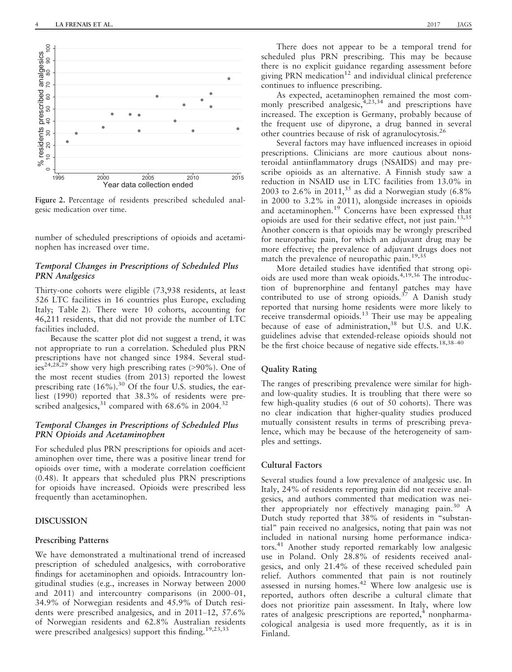

Figure 2. Percentage of residents prescribed scheduled analgesic medication over time.

number of scheduled prescriptions of opioids and acetaminophen has increased over time.

#### Temporal Changes in Prescriptions of Scheduled Plus PRN Analgesics

Thirty-one cohorts were eligible (73,938 residents, at least 526 LTC facilities in 16 countries plus Europe, excluding Italy; Table 2). There were 10 cohorts, accounting for 46,211 residents, that did not provide the number of LTC facilities included.

Because the scatter plot did not suggest a trend, it was not appropriate to run a correlation. Scheduled plus PRN prescriptions have not changed since 1984. Several stud- $\frac{1}{1}$ es<sup>24,28,29</sup> show very high prescribing rates (>90%). One of the most recent studies (from 2013) reported the lowest prescribing rate  $(16\%)$ .<sup>30</sup> Of the four U.S. studies, the earliest (1990) reported that 38.3% of residents were prescribed analgesics,  $31$  compared with 68.6% in 2004.<sup>32</sup>

## Temporal Changes in Prescriptions of Scheduled Plus PRN Opioids and Acetaminophen

For scheduled plus PRN prescriptions for opioids and acetaminophen over time, there was a positive linear trend for opioids over time, with a moderate correlation coefficient (0.48). It appears that scheduled plus PRN prescriptions for opioids have increased. Opioids were prescribed less frequently than acetaminophen.

## DISCUSSION

#### Prescribing Patterns

We have demonstrated a multinational trend of increased prescription of scheduled analgesics, with corroborative findings for acetaminophen and opioids. Intracountry longitudinal studies (e.g., increases in Norway between 2000 and 2011) and intercountry comparisons (in 2000–01, 34.9% of Norwegian residents and 45.9% of Dutch residents were prescribed analgesics, and in 2011–12, 57.6% of Norwegian residents and 62.8% Australian residents were prescribed analgesics) support this finding.<sup>19,23,33</sup>

There does not appear to be a temporal trend for scheduled plus PRN prescribing. This may be because there is no explicit guidance regarding assessment before giving PRN medication $12$  and individual clinical preference continues to influence prescribing.

As expected, acetaminophen remained the most commonly prescribed analgesic,  $4,23,34$  and prescriptions have increased. The exception is Germany, probably because of the frequent use of dipyrone, a drug banned in several other countries because of risk of agranulocytosis.26

Several factors may have influenced increases in opioid prescriptions. Clinicians are more cautious about nonsteroidal antiinflammatory drugs (NSAIDS) and may prescribe opioids as an alternative. A Finnish study saw a reduction in NSAID use in LTC facilities from 13.0% in 2003 to 2.6% in 2011,<sup>35</sup> as did a Norwegian study  $(6.8\%$ in 2000 to 3.2% in 2011), alongside increases in opioids and acetaminophen.<sup>19</sup> Concerns have been expressed that opioids are used for their sedative effect, not just pain.13,35 Another concern is that opioids may be wrongly prescribed for neuropathic pain, for which an adjuvant drug may be more effective; the prevalence of adjuvant drugs does not match the prevalence of neuropathic pain.<sup>19,35</sup>

More detailed studies have identified that strong opioids are used more than weak opioids.4,19,36 The introduction of buprenorphine and fentanyl patches may have contributed to use of strong opioids.<sup>37</sup> A Danish study reported that nursing home residents were more likely to receive transdermal opioids.<sup>13</sup> Their use may be appealing because of ease of administration,  $38$  but U.S. and U.K. guidelines advise that extended-release opioids should not be the first choice because of negative side effects.<sup>18,38-40</sup>

## Quality Rating

The ranges of prescribing prevalence were similar for highand low-quality studies. It is troubling that there were so few high-quality studies (6 out of 50 cohorts). There was no clear indication that higher-quality studies produced mutually consistent results in terms of prescribing prevalence, which may be because of the heterogeneity of samples and settings.

#### Cultural Factors

Several studies found a low prevalence of analgesic use. In Italy, 24% of residents reporting pain did not receive analgesics, and authors commented that medication was neither appropriately nor effectively managing pain. $30\,$  A Dutch study reported that 38% of residents in "substantial" pain received no analgesics, noting that pain was not included in national nursing home performance indicators.41 Another study reported remarkably low analgesic use in Poland. Only 28.8% of residents received analgesics, and only 21.4% of these received scheduled pain relief. Authors commented that pain is not routinely assessed in nursing homes.<sup>42</sup> Where low analgesic use is reported, authors often describe a cultural climate that does not prioritize pain assessment. In Italy, where low rates of analgesic prescriptions are reported, $4 \n$  nonpharmacological analgesia is used more frequently, as it is in Finland.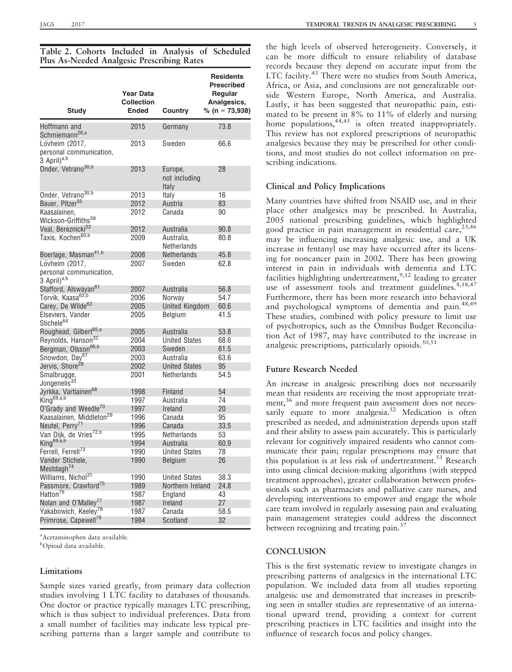| <b>Study</b>                                                         | Year Data<br>Collection<br><b>Ended</b> | Country                           | <b>Residents</b><br><b>Prescribed</b><br>Regular<br>Analgesics,<br>% ( $n = 73,938$ ) |
|----------------------------------------------------------------------|-----------------------------------------|-----------------------------------|---------------------------------------------------------------------------------------|
| Hoffmann and<br>Schmiemann <sup>26,a</sup>                           | 2015                                    | Germany                           | 73.8                                                                                  |
| Lövheim (2017,<br>personal communication,<br>3 April) <sup>a,b</sup> | 2013                                    | Sweden                            | 66.6                                                                                  |
| Onder, Vetrano <sup>30,b</sup>                                       | 2013                                    | Europe,<br>not including<br>Italy | 28                                                                                    |
| Onder, Vetrano <sup>30,b</sup>                                       | 2013                                    | Italy                             | 16                                                                                    |
| Bauer, Pitzer <sup>55</sup>                                          | 2012                                    | Austria                           | 83                                                                                    |
| Kaasalainen,                                                         | 2012                                    | Canada                            | 90                                                                                    |
| Wickson-Griffiths <sup>59</sup>                                      |                                         |                                   |                                                                                       |
| Veal, Bereznicki <sup>23</sup>                                       | 2012                                    | Australia                         | 90.8                                                                                  |
| Taxis, Kochen <sup>60,b</sup>                                        | 2009                                    | Australia,<br>Netherlands         | 80.8                                                                                  |
| Boerlage, Masman <sup>41,b</sup>                                     | 2008                                    | <b>Netherlands</b>                | 45.8                                                                                  |
| Lövheim (2017,<br>personal communication,<br>3 April) <sup>a,b</sup> | 2007                                    | Sweden                            | 62.8                                                                                  |
| Stafford, Alswayan <sup>61</sup>                                     | 2007                                    | Australia                         | 56.8                                                                                  |
| Torvik, Kaasa <sup>62,b</sup>                                        | 2006                                    | Norway                            | 54.7                                                                                  |
| Carey, De Wilde <sup>63</sup>                                        | 2005                                    | <b>United Kingdom</b>             | 60.6                                                                                  |
| Elseviers, Vander<br>Stichele <sup>64</sup>                          | 2005                                    | Belgium                           | 41.5                                                                                  |
| Roughead, Gilbert <sup>65,a</sup>                                    | 2005                                    | Australia                         | 53.8                                                                                  |
| Reynolds, Hanson <sup>32</sup>                                       | 2004                                    | <b>United States</b>              | 68.6                                                                                  |
| Bergman, Olsson <sup>66,b</sup>                                      | 2003                                    | Sweden                            | 61.5                                                                                  |
| Snowdon, Day <sup>67</sup><br>Jervis, Shore <sup>28</sup>            | 2003<br>2002                            | Australia<br><b>United States</b> | 63.6<br>95                                                                            |
| Smalbrugge,<br>Jongenelis <sup>33</sup>                              | 2001                                    | Netherlands                       | 54.5                                                                                  |
| Jyrkka, Vartiainen <sup>68</sup>                                     | 1998                                    | Finland                           | 54                                                                                    |
| King <sup>69,a,b</sup>                                               | 1997                                    | Australia                         | 74                                                                                    |
| O'Grady and Weedle <sup>70</sup>                                     | 1997                                    | Ireland                           | 20                                                                                    |
| Kaasalainen, Middleton <sup>29</sup>                                 | 1996                                    | Canada                            | 95                                                                                    |
| Neutel, Perry <sup>71</sup>                                          | 1996                                    | Canada                            | 33.5                                                                                  |
| Van Dijk, de Vries <sup>72,b</sup>                                   | 1995                                    | Netherlands                       | 53                                                                                    |
| King <sup>69,a,b</sup>                                               | 1994                                    | Australia                         | 60.9                                                                                  |
| Ferrell, Ferrell <sup>73</sup>                                       | 1990                                    | <b>United States</b>              | 78                                                                                    |
| Vander Stichele,<br>Mestdagh <sup>74</sup>                           | 1990                                    | Belgium                           | 26                                                                                    |
| Williams, Nichol <sup>31</sup>                                       | 1990                                    | <b>United States</b>              | 38.3                                                                                  |
| Passmore, Crawford <sup>75</sup>                                     | 1989                                    | Northern Ireland                  | 24.8                                                                                  |
| Hatton <sup>76</sup>                                                 | 1987                                    | England                           | 43                                                                                    |
| Nolan and O'Malley <sup>77</sup>                                     | 1987                                    | <b>Ireland</b>                    | 27                                                                                    |
| Yakabowich, Keeley <sup>78</sup>                                     | 1987                                    | Canada                            | 58.5                                                                                  |
| Primrose, Capewell <sup>79</sup>                                     | 1984                                    | Scotland                          | 32                                                                                    |

Table 2. Cohorts Included in Analysis of Scheduled Plus As-Needed Analgesic Prescribing Rates

a Acetaminophen data available.

<sup>b</sup>Opioid data available.

# Limitations

Sample sizes varied greatly, from primary data collection studies involving 1 LTC facility to databases of thousands. One doctor or practice typically manages LTC prescribing, which is thus subject to individual preferences. Data from a small number of facilities may indicate less typical prescribing patterns than a larger sample and contribute to

the high levels of observed heterogeneity. Conversely, it can be more difficult to ensure reliability of database records because they depend on accurate input from the LTC facility.<sup>43</sup> There were no studies from South America, Africa, or Asia, and conclusions are not generalizable outside Western Europe, North America, and Australia. Lastly, it has been suggested that neuropathic pain, estimated to be present in 8% to 11% of elderly and nursing home populations,<sup>44,45</sup> is often treated inappropriately. This review has not explored prescriptions of neuropathic analgesics because they may be prescribed for other conditions, and most studies do not collect information on prescribing indications.

# Clinical and Policy Implications

Many countries have shifted from NSAID use, and in their place other analgesics may be prescribed. In Australia, 2005 national prescribing guidelines, which highlighted good practice in pain management in residential care,  $23,46$ may be influencing increasing analgesic use, and a UK increase in fentanyl use may have occurred after its licensing for noncancer pain in 2002. There has been growing interest in pain in individuals with dementia and LTC facilities highlighting undertreatment, $9,12$  leading to greater use of assessment tools and treatment guidelines.<sup>8,18,47</sup> Furthermore, there has been more research into behavioral and psychological symptoms of dementia and pain.<sup>48,49</sup> These studies, combined with policy pressure to limit use of psychotropics, such as the Omnibus Budget Reconciliation Act of 1987, may have contributed to the increase in analgesic prescriptions, particularly opioids.<sup>50,51</sup>

# Future Research Needed

An increase in analgesic prescribing does not necessarily mean that residents are receiving the most appropriate treatment,<sup>36</sup> and more frequent pain assessment does not necessarily equate to more analgesia.<sup>52</sup> Medication is often prescribed as needed, and administration depends upon staff and their ability to assess pain accurately. This is particularly relevant for cognitively impaired residents who cannot communicate their pain; regular prescriptions may ensure that this population is at less risk of undertreatment.<sup>53</sup> Research into using clinical decision-making algorithms (with stepped treatment approaches), greater collaboration between professionals such as pharmacists and palliative care nurses, and developing interventions to empower and engage the whole care team involved in regularly assessing pain and evaluating pain management strategies could address the disconnect between recognizing and treating pain.<sup>37</sup>

# **CONCLUSION**

This is the first systematic review to investigate changes in prescribing patterns of analgesics in the international LTC population. We included data from all studies reporting analgesic use and demonstrated that increases in prescribing seen in smaller studies are representative of an international upward trend, providing a context for current prescribing practices in LTC facilities and insight into the influence of research focus and policy changes.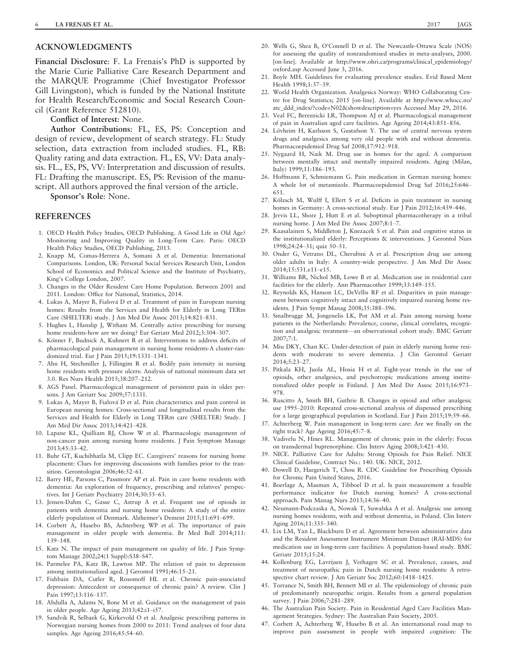## ACKNOWLEDGMENTS

Financial Disclosure: F. La Frenais's PhD is supported by the Marie Curie Palliative Care Research Department and the MARQUE Programme (Chief Investigator Professor Gill Livingston), which is funded by the National Institute for Health Research/Economic and Social Research Council (Grant Reference 512810).

Conflict of Interest: None.

Author Contributions: FL, ES, PS: Conception and design of review, development of search strategy. FL: Study selection, data extraction from included studies. FL, RB: Quality rating and data extraction. FL, ES, VV: Data analysis. FL., ES, PS, VV: Interpretation and discussion of results. FL: Drafting the manuscript. ES, PS: Revision of the manuscript. All authors approved the final version of the article.

Sponsor's Role: None.

#### REFERENCES

- 1. OECD Health Policy Studies, OECD Publishing. A Good Life in Old Age? Monitoring and Improving Quality in Long-Term Care. Paris: OECD Health Policy Studies, OECD Publishing, 2013.
- 2. Knapp M, Comas-Herrera A, Somani A et al. Dementia: International Comparisons. London, UK: Personal Social Services Research Unit, London School of Economics and Political Science and the Institute of Psychiatry, King's College London, 2007.
- 3. Changes in the Older Resident Care Home Population. Between 2001 and 2011. London: Office for National, Statistics, 2014.
- 4. Lukas A, Mayer B, Fialová D et al. Treatment of pain in European nursing homes: Results from the Services and Health for Elderly in Long TERm Care (SHELTER) study. J Am Med Dir Assoc 2013;14:821–831.
- 5. Hughes L, Hanslip J, Witham M. Centrally active prescribing for nursing home residents-how are we doing? Eur Geriatr Med 2012;3:304–307.
- 6. Könner F, Budnick A, Kuhnert R et al. Interventions to address deficits of pharmacological pain management in nursing home residents-A cluster-randomized trial. Eur J Pain 2015;19:1331–1341.
- 7. Ahn H, Stechmiller J, Fillingim R et al. Bodily pain intensity in nursing home residents with pressure ulcers: Analysis of national minimum data set 3.0. Res Nurs Health 2015;38:207–212.
- 8. AGS Panel. Pharmacological management of persistent pain in older persons. J Am Geriatr Soc 2009;57:1331.
- 9. Lukas A, Mayer B, Fialová D et al. Pain characteristics and pain control in European nursing homes: Cross-sectional and longitudinal results from the Services and Health for Elderly in Long TERm care (SHELTER) Study. J Am Med Dir Assoc 2013;14:421–428.
- 10. Lapane KL, Quilliam BJ, Chow W et al. Pharmacologic management of non-cancer pain among nursing home residents. J Pain Symptom Manage 2013;45:33–42.
- 11. Buhr GT, Kuchibhatla M, Clipp EC. Caregivers' reasons for nursing home placement: Clues for improving discussions with families prior to the transition. Gerontologist 2006;46:52–61.
- 12. Barry HE, Parsons C, Passmore AP et al. Pain in care home residents with dementia: An exploration of frequency, prescribing and relatives' perspectives. Int J Geriatr Psychiatry 2014;30:55–63.
- 13. Jensen-Dahm C, Gasse C, Astrup A et al. Frequent use of opioids in patients with dementia and nursing home residents: A study of the entire elderly population of Denmark. Alzheimer's Dement 2015;11:691–699.
- 14. Corbett A, Husebo BS, Achterberg WP et al. The importance of pain management in older people with dementia. Br Med Bull 2014;111: 139–148.
- 15. Katz N. The impact of pain management on quality of life. J Pain Symptom Manage 2002;24(1 Suppl):S38–S47.
- 16. Parmelee PA, Katz IR, Lawton MP. The relation of pain to depression among institutionalized aged. J Gerontol 1991;46:15–21.
- 17. Fishbain DA, Cutler R, Rosomoff HL et al. Chronic pain-associated depression: Antecedent or consequence of chronic pain? A review. Clin J Pain 1997;13:116–137.
- 18. Abdulla A, Adams N, Bone M et al. Guidance on the management of pain in older people. Age Ageing 2013;42:i1–i57.
- 19. Sandvik R, Selbaek G, Kirkevold O et al. Analgesic prescribing patterns in Norwegian nursing homes from 2000 to 2011: Trend analyses of four data samples. Age Ageing 2016;45:54–60.
- 20. Wells G, Shea B, O'Connell D et al. The Newcastle-Ottawa Scale (NOS) for assessing the quality of nonrandomised studies in meta-analyses, 2000. [on-line]. Available at [http://www.ohri.ca/programs/clinical\\_epidemiology/](http://www.ohri.ca/programs/clinical_epidemiology/oxford.asp) [oxford.asp](http://www.ohri.ca/programs/clinical_epidemiology/oxford.asp) Accessed June 3, 2016.
- 21. Boyle MH. Guidelines for evaluating prevalence studies. Evid Based Ment Health 1998;1:37–39.
- 22. World Health Organization. Analgesics Norway: WHO Collaborating Centre for Drug Statistics; 2015 [on-line]. Available at [http://www.whocc.no/](http://www.whocc.no/atc_ddd_index/?code=N02&showdescription=yes) [atc\\_ddd\\_index/?code=N02&showdescription=yes](http://www.whocc.no/atc_ddd_index/?code=N02&showdescription=yes) Accessed May 29, 2016.
- 23. Veal FC, Bereznicki LR, Thompson AJ et al. Pharmacological management of pain in Australian aged care facilities. Age Ageing 2014;43:851–856.
- 24. Lövheim H, Karlsson S, Gustafson Y. The use of central nervous system drugs and analgesics among very old people with and without dementia. Pharmacoepidemiol Drug Saf 2008;17:912–918.
- 25. Nygaard H, Naik M. Drug use in homes for the aged. A comparison between mentally intact and mentally impaired residents. Aging (Milan, Italy) 1999;11:186–193.
- 26. Hoffmann F, Schmiemann G. Pain medication in German nursing homes: A whole lot of metamizole. Pharmacoepidemiol Drug Saf 2016;25:646– 651.
- 27. Kölzsch M, Wulff I, Ellert S et al. Deficits in pain treatment in nursing homes in Germany: A cross-sectional study. Eur J Pain 2012;16:439-446.
- 28. Jervis LL, Shore J, Hutt E et al. Suboptimal pharmacotherapy in a tribal nursing home. J Am Med Dir Assoc 2007;8:1–7.
- 29. Kaasalainen S, Middleton J, Knezacek S et al. Pain and cognitive status in the institutionalized elderly: Perceptions & interventions. J Gerontol Nurs 1998;24:24–31; quiz 50–51.
- 30. Onder G, Vetrano DL, Cherubini A et al. Prescription drug use among older adults in Italy: A country-wide perspective. J Am Med Dir Assoc 2014;15:531.e11–e15.
- 31. Williams BR, Nichol MB, Lowe B et al. Medication use in residential care facilities for the elderly. Ann Pharmacother 1999;33:149–155.
- 32. Reynolds KS, Hanson LC, DeVellis RF et al. Disparities in pain management between cognitively intact and cognitively impaired nursing home residents. J Pain Sympt Manag 2008;35:388–396.
- 33. Smalbrugge M, Jongenelis LK, Pot AM et al. Pain among nursing home patients in the Netherlands: Prevalence, course, clinical correlates, recognition and analgesic treatment—an observational cohort study. BMC Geriatr  $2007 - 7.1$
- 34. Miu DKY, Chan KC. Under-detection of pain in elderly nursing home residents with moderate to severe dementia. J Clin Gerontol Geriatr 2014;5:23–27.
- 35. Pitkala KH, Juola AL, Hosia H et al. Eight-year trends in the use of opioids, other analgesics, and psychotropic medications among institutionalized older people in Finland. J Am Med Dir Assoc 2015;16:973– 978.
- 36. Ruscitto A, Smith BH, Guthrie B. Changes in opioid and other analgesic use 1995–2010: Repeated cross-sectional analysis of dispensed prescribing for a large geographical population in Scotland. Eur J Pain 2015;19:59–66.
- 37. Achterberg W. Pain management in long-term care: Are we finally on the right track? Age Ageing 2016;45:7–8.
- 38. Vadivelu N, Hines RL. Management of chronic pain in the elderly: Focus on transdermal buprenorphine. Clin Interv Aging 2008;3:421–430.
- 39. NICE. Palliative Care for Adults: Strong Opioids for Pain Relief. NICE Clinical Guideline, Contract No.: 140. UK: NICE, 2012.
- 40. Dowell D, Haegerich T, Chou R. CDC Guideline for Prescribing Opioids for Chronic Pain United States, 2016.
- 41. Boerlage A, Masman A, Tibboel D et al. Is pain measurement a feasible performance indicator for Dutch nursing homes? A cross-sectional approach. Pain Manag Nurs 2013;14:36–40.
- 42. Neumann-Podczaska A, Nowak T, Suwalska A et al. Analgesic use among nursing homes residents, with and without dementia, in Poland. Clin Interv Aging 2016;11:335–340.
- 43. Lix LM, Yan L, Blackburn D et al. Agreement between administrative data and the Resident Assessment Instrument Minimum Dataset (RAI-MDS) for medication use in long-term care facilities: A population-based study. BMC Geriatr 2015;15:24.
- 44. Kollenburg EG, Lavrijsen J, Verhagen SC et al. Prevalence, causes, and treatment of neuropathic pain in Dutch nursing home residents: A retrospective chart review. J Am Geriatr Soc 2012;60:1418–1425.
- 45. Torrance N, Smith BH, Bennett MI et al. The epidemiology of chronic pain of predominantly neuropathic origin. Results from a general population survey. J Pain 2006;7:281-289.
- 46. The Australian Pain Society. Pain in Residential Aged Care Facilities Management Strategies. Sydney: The Australian Pain Society, 2005.
- 47. Corbett A, Achterberg W, Husebo B et al. An international road map to improve pain assessment in people with impaired cognition: The